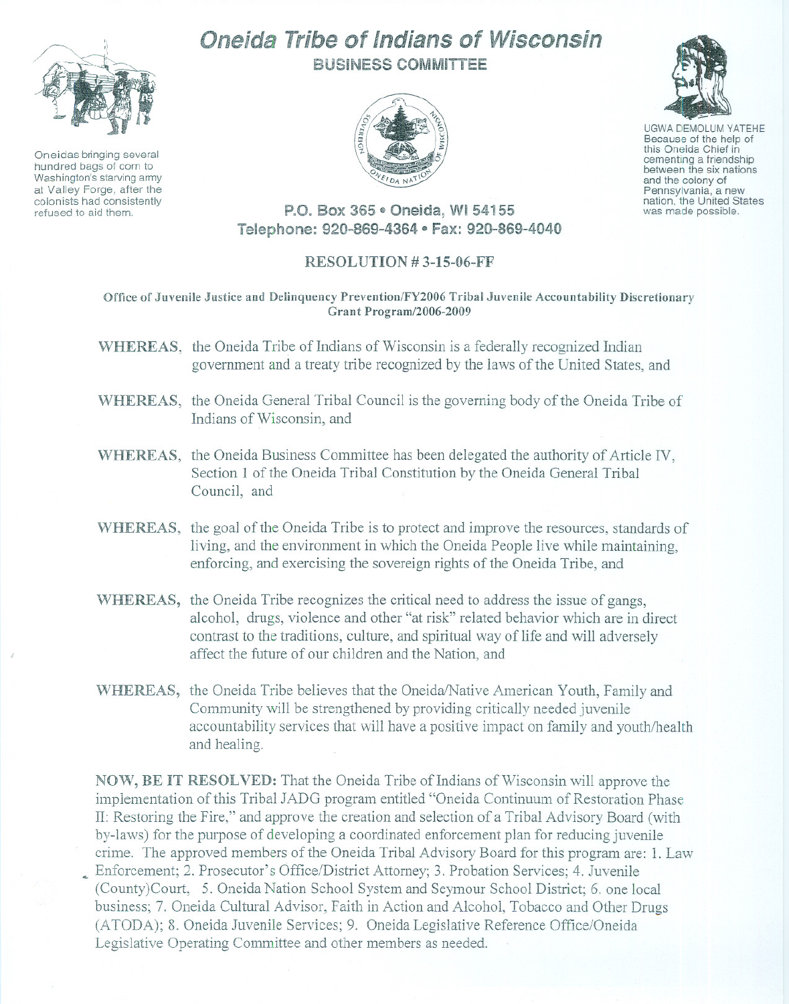

Oneidas bringing several hundred bags of corn to Washington's starving army at Valley Forge, after the colonists had consistently refused to aid them.

## Oneida Tribe of Indians of Wisconsin BUSiNESS COMMITTEE





UGWA DEMOLUM YATEHE Because of the help of this Oneida Chief in<br>cementing a friendship between the six nations and the colony of<br>Pennsylvania, a new nation, the United States was made possible.

P.O. Box 365 · Oneida, WI 54155 Telephone: 920-869-4364 · Fax: 920-869-4040

## RESOLUTION # 3-15-06-FF

Office of Juvenile Justice and Delinquency Prevention/FY2006 Tribal Juvenile Accountability Discretionary Grant Program/2006-2009

- WHEREAS, the Oneida Tribe of Indians of Wisconsin is a federally recognized Indian government and a treaty tribe recognized by the laws of the United States, and
- WHEREAS, the Oneida General Tribal Council is the governing body of the Oneida Tribe of Indians of Wisconsin, and
- WHEREAS, the Oneida Business Committee has been delegated the authority of Article IV, Section 1 of the Oneida Tribal Constitution by the Oneida General Tribal Council, and
- WHEREAS, the goal of the Oneida Tribe is to protect and improve the resources, standards of living, and the enviromnent in which the Oneida People live while maintaining, enforcing, and exercising the sovereign rights of the Oneida Tribe, and
- WHEREAS, the Oneida Tribe recognizes the critical need to address the issue of gangs, alcohol, drugs, violence and other "at risk" related behavior which are in direct contrast to the traditions, culture, and spiritual way of life and will adversely affect the future of our children and the Nation, and
- WHEREAS, the Oneida Tribe believes that the Oneida/Native American Youth, Family and Community will be strengthened by providing critically needed juvenile accountability services that will have a positive impact on family and youth/health and healing.

NOW, BE IT RESOLVED: That the Oneida Tribe of Indians of Wisconsin will approve the implementation of this Tribal JADG program entitled "Oneida Continuum of Restoration Phase II: Restoring the Fire," and approve the creation and selection of a Tribal Advisory Board (with by-laws) for the purpose of developing a coordinated enforcement plan for reducing juvenile crime. The approved members of the Oneida Tribal Advisory Board for this program are: 1. Law ~ Enforcement; 2. Prosecutor's Office/District Attorney; 3. Probation Services; 4. Juvenile (County)Court, 5. Oneida Nation School System and Seymour School District; 6. one local business; 7. Oneida Cultural Advisor, Faith in Action and Alcohol, Tobacco and Other Drugs (ATODA); 8. Oneida Juvenile Services; 9. Oneida Legislative Reference Office/Oneida Legislative Operating Committee and other members as needed.